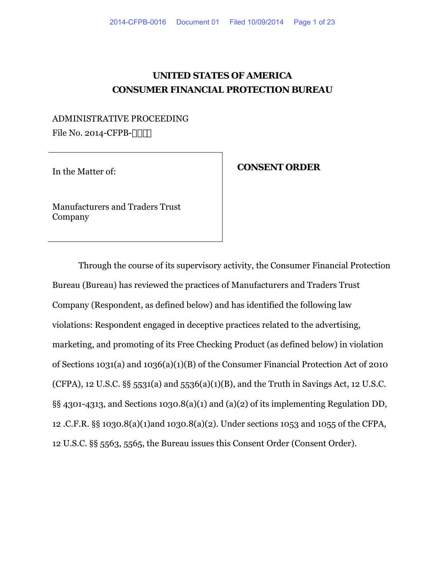## **UNITED STATES OF AMERICA CONSUMER FINANCIAL PROTECTION BUREAU**

### ADMINISTRATIVE PROCEEDING File No. 2014-CFPB-

# In the Matter of: **CONSENT ORDER**

Manufacturers and Traders Trust Company

Through the course of its supervisory activity, the Consumer Financial Protection Bureau (Bureau) has reviewed the practices of Manufacturers and Traders Trust Company (Respondent, as defined below) and has identified the following law violations: Respondent engaged in deceptive practices related to the advertising, marketing, and promoting of its Free Checking Product (as defined below) in violation of Sections 1031(a) and 1036(a)(1)(B) of the Consumer Financial Protection Act of 2010 (CFPA), 12 U.S.C.  $\S$ § 5531(a) and 5536(a)(1)(B), and the Truth in Savings Act, 12 U.S.C. §§ 4301-4313, and Sections 1030.8(a)(1) and (a)(2) of its implementing Regulation DD, 12 .C.F.R. §§ 1030.8(a)(1)and 1030.8(a)(2). Under sections 1053 and 1055 of the CFPA, 12 U.S.C. §§ 5563, 5565, the Bureau issues this Consent Order (Consent Order).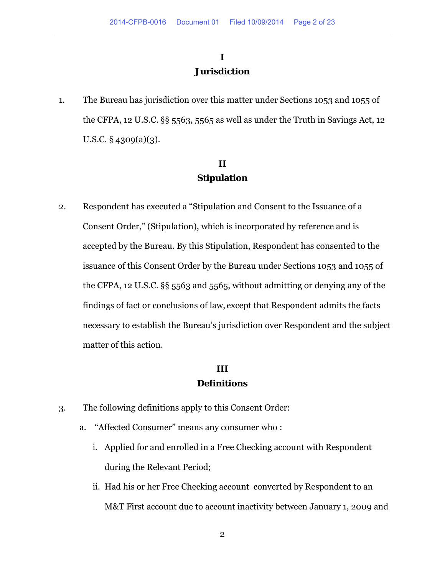## **I Jurisdiction**

1. The Bureau has jurisdiction over this matter under Sections 1053 and 1055 of the CFPA, 12 U.S.C. §§ 5563, 5565 as well as under the Truth in Savings Act, 12 U.S.C. § 4309(a)(3).

### **II Stipulation**

2. Respondent has executed a "Stipulation and Consent to the Issuance of a Consent Order," (Stipulation), which is incorporated by reference and is accepted by the Bureau. By this Stipulation, Respondent has consented to the issuance of this Consent Order by the Bureau under Sections 1053 and 1055 of the CFPA, 12 U.S.C. §§ 5563 and 5565, without admitting or denying any of the findings of fact or conclusions of law, except that Respondent admits the facts necessary to establish the Bureau's jurisdiction over Respondent and the subject matter of this action.

## **III Definitions**

- 3. The following definitions apply to this Consent Order:
	- a. "Affected Consumer" means any consumer who :
		- i. Applied for and enrolled in a Free Checking account with Respondent during the Relevant Period;
		- ii. Had his or her Free Checking account converted by Respondent to an M&T First account due to account inactivity between January 1, 2009 and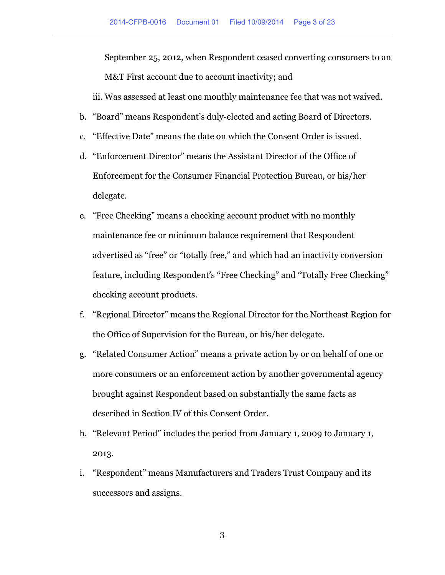September 25, 2012, when Respondent ceased converting consumers to an M&T First account due to account inactivity; and

iii. Was assessed at least one monthly maintenance fee that was not waived.

- b. "Board" means Respondent's duly-elected and acting Board of Directors.
- c. "Effective Date" means the date on which the Consent Order is issued.
- d. "Enforcement Director" means the Assistant Director of the Office of Enforcement for the Consumer Financial Protection Bureau, or his/her delegate.
- e. "Free Checking" means a checking account product with no monthly maintenance fee or minimum balance requirement that Respondent advertised as "free" or "totally free," and which had an inactivity conversion feature, including Respondent's "Free Checking" and "Totally Free Checking" checking account products.
- f. "Regional Director" means the Regional Director for the Northeast Region for the Office of Supervision for the Bureau, or his/her delegate.
- g. "Related Consumer Action" means a private action by or on behalf of one or more consumers or an enforcement action by another governmental agency brought against Respondent based on substantially the same facts as described in Section IV of this Consent Order.
- h. "Relevant Period" includes the period from January 1, 2009 to January 1, 2013.
- i. "Respondent" means Manufacturers and Traders Trust Company and its successors and assigns.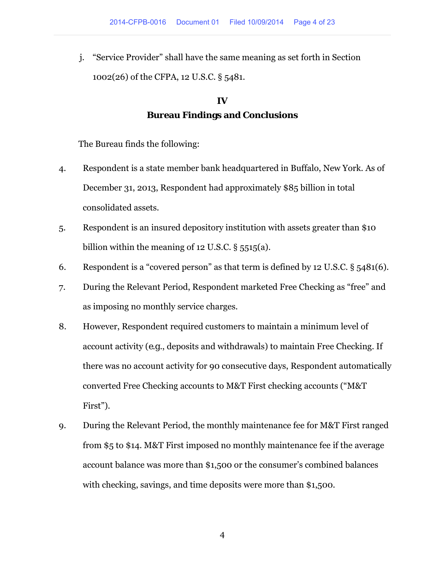j. "Service Provider" shall have the same meaning as set forth in Section 1002(26) of the CFPA, 12 U.S.C. § 5481.

# **IV Bureau Findings and Conclusions**

The Bureau finds the following:

- 4. Respondent is a state member bank headquartered in Buffalo, New York. As of December 31, 2013, Respondent had approximately \$85 billion in total consolidated assets.
- 5. Respondent is an insured depository institution with assets greater than \$10 billion within the meaning of 12 U.S.C.  $\S$  5515(a).
- 6. Respondent is a "covered person" as that term is defined by 12 U.S.C. § 5481(6).
- 7. During the Relevant Period, Respondent marketed Free Checking as "free" and as imposing no monthly service charges.
- 8. However, Respondent required customers to maintain a minimum level of account activity (*e.g*., deposits and withdrawals) to maintain Free Checking. If there was no account activity for 90 consecutive days, Respondent automatically converted Free Checking accounts to M&T First checking accounts ("M&T First").
- 9. During the Relevant Period, the monthly maintenance fee for M&T First ranged from \$5 to \$14. M&T First imposed no monthly maintenance fee if the average account balance was more than \$1,500 or the consumer's combined balances with checking, savings, and time deposits were more than \$1,500.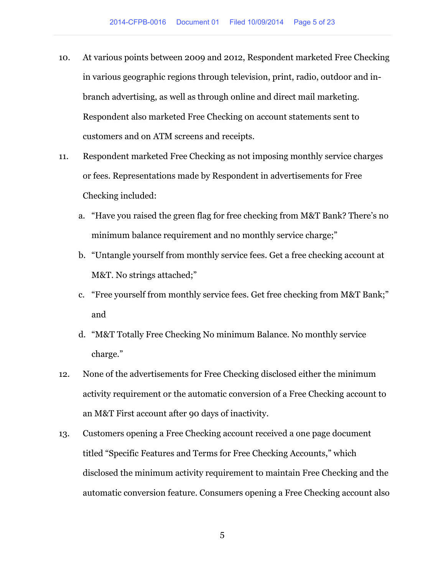- 10. At various points between 2009 and 2012, Respondent marketed Free Checking in various geographic regions through television, print, radio, outdoor and inbranch advertising, as well as through online and direct mail marketing. Respondent also marketed Free Checking on account statements sent to customers and on ATM screens and receipts.
- 11. Respondent marketed Free Checking as not imposing monthly service charges or fees. Representations made by Respondent in advertisements for Free Checking included:
	- a. "Have you raised the green flag for free checking from M&T Bank? There's no minimum balance requirement and no monthly service charge;"
	- b. "Untangle yourself from monthly service fees. Get a free checking account at M&T. No strings attached;"
	- c. "Free yourself from monthly service fees. Get free checking from M&T Bank;" and
	- d. "M&T Totally Free Checking No minimum Balance. No monthly service charge."
- 12. None of the advertisements for Free Checking disclosed either the minimum activity requirement or the automatic conversion of a Free Checking account to an M&T First account after 90 days of inactivity.
- 13. Customers opening a Free Checking account received a one page document titled "Specific Features and Terms for Free Checking Accounts," which disclosed the minimum activity requirement to maintain Free Checking and the automatic conversion feature. Consumers opening a Free Checking account also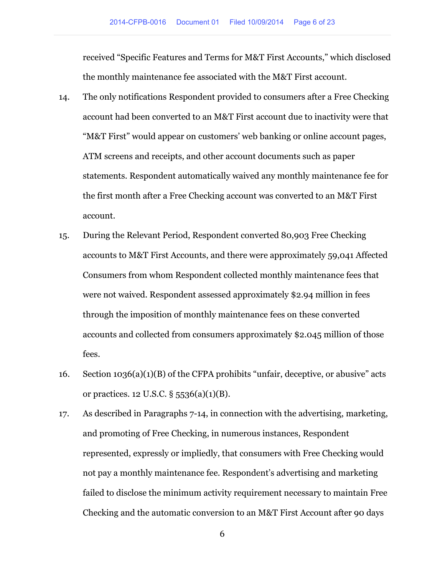received "Specific Features and Terms for M&T First Accounts," which disclosed the monthly maintenance fee associated with the M&T First account.

- 14. The only notifications Respondent provided to consumers after a Free Checking account had been converted to an M&T First account due to inactivity were that "M&T First" would appear on customers' web banking or online account pages, ATM screens and receipts, and other account documents such as paper statements. Respondent automatically waived any monthly maintenance fee for the first month after a Free Checking account was converted to an M&T First account.
- 15. During the Relevant Period, Respondent converted 80,903 Free Checking accounts to M&T First Accounts, and there were approximately 59,041 Affected Consumers from whom Respondent collected monthly maintenance fees that were not waived. Respondent assessed approximately \$2.94 million in fees through the imposition of monthly maintenance fees on these converted accounts and collected from consumers approximately \$2.045 million of those fees.
- 16. Section 1036(a)(1)(B) of the CFPA prohibits "unfair, deceptive, or abusive" acts or practices. 12 U.S.C. § 5536(a)(1)(B).
- 17. As described in Paragraphs 7-14, in connection with the advertising, marketing, and promoting of Free Checking, in numerous instances, Respondent represented, expressly or impliedly, that consumers with Free Checking would not pay a monthly maintenance fee. Respondent's advertising and marketing failed to disclose the minimum activity requirement necessary to maintain Free Checking and the automatic conversion to an M&T First Account after 90 days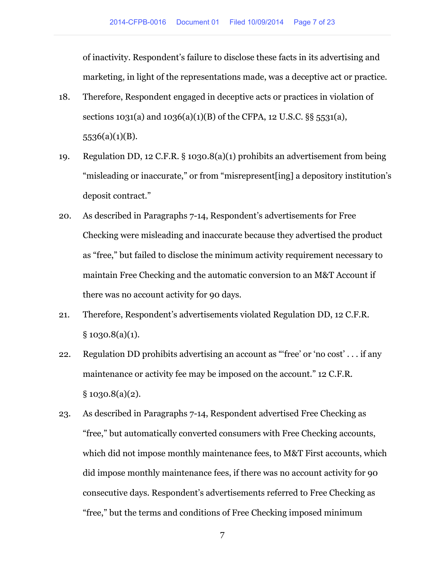of inactivity. Respondent's failure to disclose these facts in its advertising and marketing, in light of the representations made, was a deceptive act or practice.

- 18. Therefore, Respondent engaged in deceptive acts or practices in violation of sections 1031(a) and 1036(a)(1)(B) of the CFPA, 12 U.S.C. §§ 5531(a), 5536(a)(1)(B).
- 19. Regulation DD, 12 C.F.R. § 1030.8(a)(1) prohibits an advertisement from being "misleading or inaccurate," or from "misrepresent[ing] a depository institution's deposit contract."
- 20. As described in Paragraphs 7-14, Respondent's advertisements for Free Checking were misleading and inaccurate because they advertised the product as "free," but failed to disclose the minimum activity requirement necessary to maintain Free Checking and the automatic conversion to an M&T Account if there was no account activity for 90 days.
- 21. Therefore, Respondent's advertisements violated Regulation DD, 12 C.F.R.  $§ 1030.8(a)(1).$
- 22. Regulation DD prohibits advertising an account as "'free' or 'no cost' . . . if any maintenance or activity fee may be imposed on the account." 12 C.F.R.  $§ 1030.8(a)(2).$
- 23. As described in Paragraphs 7-14, Respondent advertised Free Checking as "free," but automatically converted consumers with Free Checking accounts, which did not impose monthly maintenance fees, to M&T First accounts, which did impose monthly maintenance fees, if there was no account activity for 90 consecutive days. Respondent's advertisements referred to Free Checking as "free," but the terms and conditions of Free Checking imposed minimum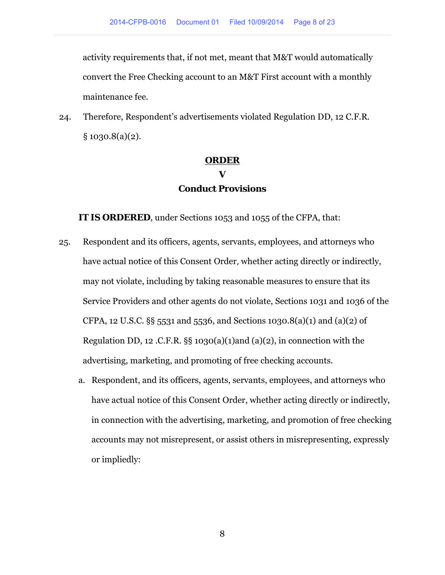activity requirements that, if not met, meant that M&T would automatically convert the Free Checking account to an M&T First account with a monthly maintenance fee.

24. Therefore, Respondent's advertisements violated Regulation DD, 12 C.F.R.  $§ 1030.8(a)(2).$ 

# **ORDER V Conduct Provisions**

**IT IS ORDERED**, under Sections 1053 and 1055 of the CFPA, that:

- 25. Respondent and its officers, agents, servants, employees, and attorneys who have actual notice of this Consent Order*,* whether acting directly or indirectly, may not violate, including by taking reasonable measures to ensure that its Service Providers and other agents do not violate, Sections 1031 and 1036 of the CFPA, 12 U.S.C. §§ 5531 and 5536, and Sections 1030.8(a)(1) and (a)(2) of Regulation DD, 12 .C.F.R.  $\S$ § 1030(a)(1)and (a)(2), in connection with the advertising, marketing, and promoting of free checking accounts.
	- a. Respondent, and its officers, agents, servants, employees, and attorneys who have actual notice of this Consent Order, whether acting directly or indirectly, in connection with the advertising, marketing, and promotion of free checking accounts may not misrepresent, or assist others in misrepresenting, expressly or impliedly: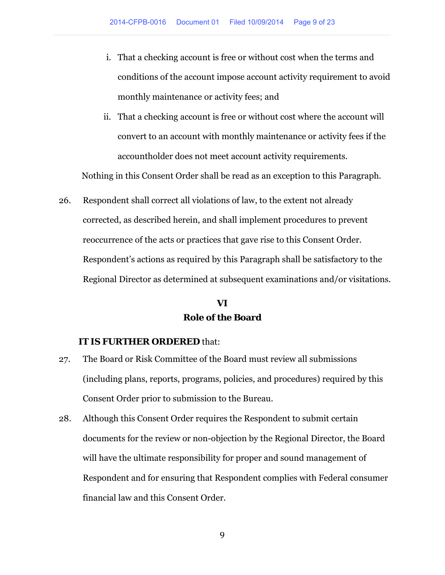- i. That a checking account is free or without cost when the terms and conditions of the account impose account activity requirement to avoid monthly maintenance or activity fees; and
- ii. That a checking account is free or without cost where the account will convert to an account with monthly maintenance or activity fees if the accountholder does not meet account activity requirements.

Nothing in this Consent Order shall be read as an exception to this Paragraph.

26. Respondent shall correct all violations of law, to the extent not already corrected, as described herein, and shall implement procedures to prevent reoccurrence of the acts or practices that gave rise to this Consent Order. Respondent's actions as required by this Paragraph shall be satisfactory to the Regional Director as determined at subsequent examinations and/or visitations.

## **VI Role of the Board**

#### **IT IS FURTHER ORDERED** that:

- 27. The Board or Risk Committee of the Board must review all submissions (including plans, reports, programs, policies, and procedures) required by this Consent Order prior to submission to the Bureau.
- 28. Although this Consent Order requires the Respondent to submit certain documents for the review or non-objection by the Regional Director, the Board will have the ultimate responsibility for proper and sound management of Respondent and for ensuring that Respondent complies with Federal consumer financial law and this Consent Order.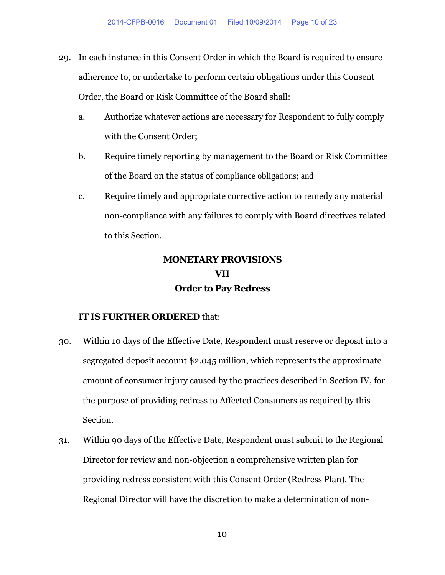- 29. In each instance in this Consent Order in which the Board is required to ensure adherence to, or undertake to perform certain obligations under this Consent Order, the Board or Risk Committee of the Board shall:
	- a. Authorize whatever actions are necessary for Respondent to fully comply with the Consent Order;
	- b. Require timely reporting by management to the Board or Risk Committee of the Board on the status of compliance obligations; and
	- c. Require timely and appropriate corrective action to remedy any material non-compliance with any failures to comply with Board directives related to this Section.

## **MONETARY PROVISIONS VII Order to Pay Redress**

### **IT IS FURTHER ORDERED** that:

- 30. Within 10 days of the Effective Date, Respondent must reserve or deposit into a segregated deposit account \$2.045 million, which represents the approximate amount of consumer injury caused by the practices described in Section IV, for the purpose of providing redress to Affected Consumers as required by this Section.
- 31. Within 90 days of the Effective Date, Respondent must submit to the Regional Director for review and non-objection a comprehensive written plan for providing redress consistent with this Consent Order (Redress Plan). The Regional Director will have the discretion to make a determination of non-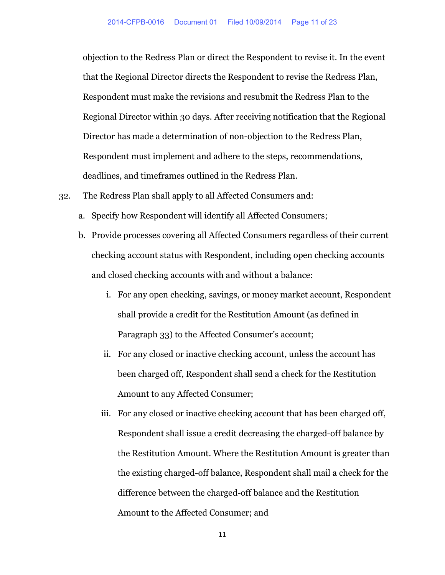objection to the Redress Plan or direct the Respondent to revise it. In the event that the Regional Director directs the Respondent to revise the Redress Plan, Respondent must make the revisions and resubmit the Redress Plan to the Regional Director within 30 days. After receiving notification that the Regional Director has made a determination of non-objection to the Redress Plan, Respondent must implement and adhere to the steps, recommendations, deadlines, and timeframes outlined in the Redress Plan.

- 32. The Redress Plan shall apply to all Affected Consumers and:
	- a. Specify how Respondent will identify all Affected Consumers;
	- b. Provide processes covering all Affected Consumers regardless of their current checking account status with Respondent, including open checking accounts and closed checking accounts with and without a balance:
		- i. For any open checking, savings, or money market account, Respondent shall provide a credit for the Restitution Amount (as defined in Paragraph 33) to the Affected Consumer's account;
		- ii. For any closed or inactive checking account, unless the account has been charged off, Respondent shall send a check for the Restitution Amount to any Affected Consumer;
		- iii. For any closed or inactive checking account that has been charged off, Respondent shall issue a credit decreasing the charged-off balance by the Restitution Amount. Where the Restitution Amount is greater than the existing charged-off balance, Respondent shall mail a check for the difference between the charged-off balance and the Restitution Amount to the Affected Consumer; and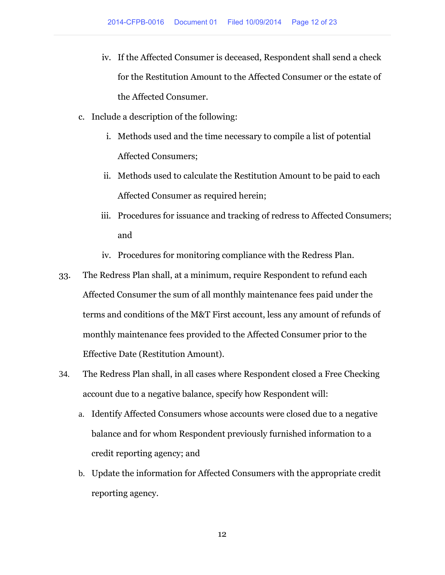- iv. If the Affected Consumer is deceased, Respondent shall send a check for the Restitution Amount to the Affected Consumer or the estate of the Affected Consumer.
- c. Include a description of the following:
	- i. Methods used and the time necessary to compile a list of potential Affected Consumers;
	- ii. Methods used to calculate the Restitution Amount to be paid to each Affected Consumer as required herein;
	- iii. Procedures for issuance and tracking of redress to Affected Consumers; and
	- iv. Procedures for monitoring compliance with the Redress Plan.
- 33. The Redress Plan shall, at a minimum, require Respondent to refund each Affected Consumer the sum of all monthly maintenance fees paid under the terms and conditions of the M&T First account, less any amount of refunds of monthly maintenance fees provided to the Affected Consumer prior to the Effective Date (Restitution Amount).
- 34. The Redress Plan shall, in all cases where Respondent closed a Free Checking account due to a negative balance, specify how Respondent will:
	- a. Identify Affected Consumers whose accounts were closed due to a negative balance and for whom Respondent previously furnished information to a credit reporting agency; and
	- b. Update the information for Affected Consumers with the appropriate credit reporting agency.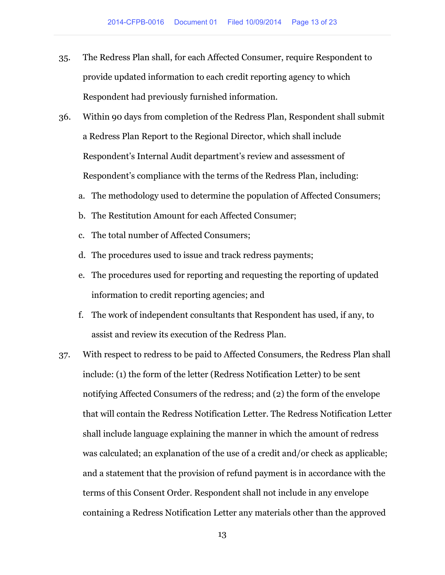- 35. The Redress Plan shall, for each Affected Consumer, require Respondent to provide updated information to each credit reporting agency to which Respondent had previously furnished information.
- 36. Within 90 days from completion of the Redress Plan, Respondent shall submit a Redress Plan Report to the Regional Director, which shall include Respondent's Internal Audit department's review and assessment of Respondent's compliance with the terms of the Redress Plan, including:
	- a. The methodology used to determine the population of Affected Consumers;
	- b. The Restitution Amount for each Affected Consumer;
	- c. The total number of Affected Consumers;
	- d. The procedures used to issue and track redress payments;
	- e. The procedures used for reporting and requesting the reporting of updated information to credit reporting agencies; and
	- f. The work of independent consultants that Respondent has used, if any, to assist and review its execution of the Redress Plan.
- 37. With respect to redress to be paid to Affected Consumers, the Redress Plan shall include: (1) the form of the letter (Redress Notification Letter) to be sent notifying Affected Consumers of the redress; and (2) the form of the envelope that will contain the Redress Notification Letter. The Redress Notification Letter shall include language explaining the manner in which the amount of redress was calculated; an explanation of the use of a credit and/or check as applicable; and a statement that the provision of refund payment is in accordance with the terms of this Consent Order. Respondent shall not include in any envelope containing a Redress Notification Letter any materials other than the approved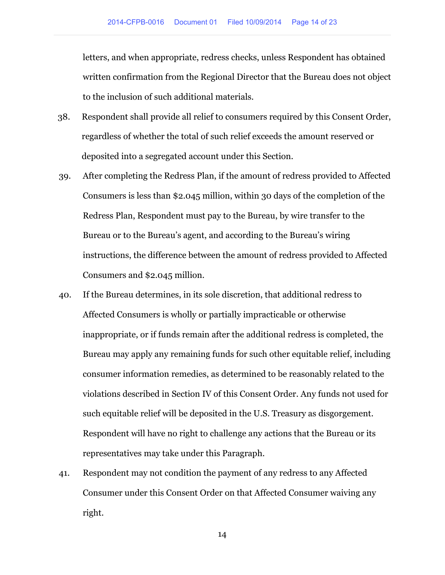letters, and when appropriate, redress checks, unless Respondent has obtained written confirmation from the Regional Director that the Bureau does not object to the inclusion of such additional materials.

- 38. Respondent shall provide all relief to consumers required by this Consent Order, regardless of whether the total of such relief exceeds the amount reserved or deposited into a segregated account under this Section.
- 39. After completing the Redress Plan, if the amount of redress provided to Affected Consumers is less than \$2.045 million, within 30 days of the completion of the Redress Plan, Respondent must pay to the Bureau, by wire transfer to the Bureau or to the Bureau's agent, and according to the Bureau's wiring instructions, the difference between the amount of redress provided to Affected Consumers and \$2.045 million.
- 40. If the Bureau determines, in its sole discretion, that additional redress to Affected Consumers is wholly or partially impracticable or otherwise inappropriate, or if funds remain after the additional redress is completed, the Bureau may apply any remaining funds for such other equitable relief, including consumer information remedies, as determined to be reasonably related to the violations described in Section IV of this Consent Order. Any funds not used for such equitable relief will be deposited in the U.S. Treasury as disgorgement. Respondent will have no right to challenge any actions that the Bureau or its representatives may take under this Paragraph.
- 41. Respondent may not condition the payment of any redress to any Affected Consumer under this Consent Order on that Affected Consumer waiving any right.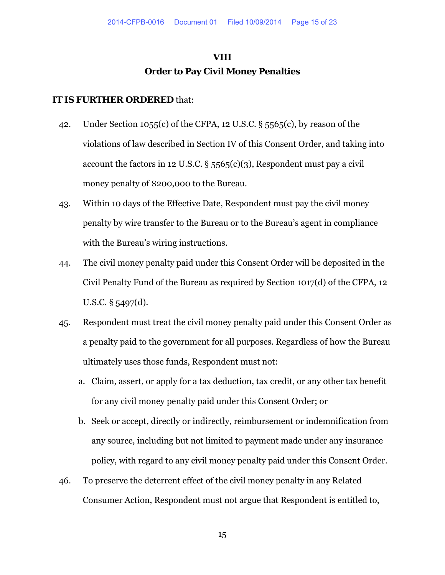## **VIII Order to Pay Civil Money Penalties**

### **IT IS FURTHER ORDERED** that:

- 42. Under Section 1055(c) of the CFPA, 12 U.S.C. § 5565(c), by reason of the violations of law described in Section IV of this Consent Order, and taking into account the factors in 12 U.S.C.  $\S$  5565(c)(3), Respondent must pay a civil money penalty of \$200,000 to the Bureau.
- 43. Within 10 days of the Effective Date, Respondent must pay the civil money penalty by wire transfer to the Bureau or to the Bureau's agent in compliance with the Bureau's wiring instructions.
- 44. The civil money penalty paid under this Consent Order will be deposited in the Civil Penalty Fund of the Bureau as required by Section 1017(d) of the CFPA, 12 U.S.C. § 5497(d).
- 45. Respondent must treat the civil money penalty paid under this Consent Order as a penalty paid to the government for all purposes. Regardless of how the Bureau ultimately uses those funds, Respondent must not:
	- a. Claim, assert, or apply for a tax deduction, tax credit, or any other tax benefit for any civil money penalty paid under this Consent Order; or
	- b. Seek or accept, directly or indirectly, reimbursement or indemnification from any source, including but not limited to payment made under any insurance policy, with regard to any civil money penalty paid under this Consent Order.
- 46. To preserve the deterrent effect of the civil money penalty in any Related Consumer Action, Respondent must not argue that Respondent is entitled to,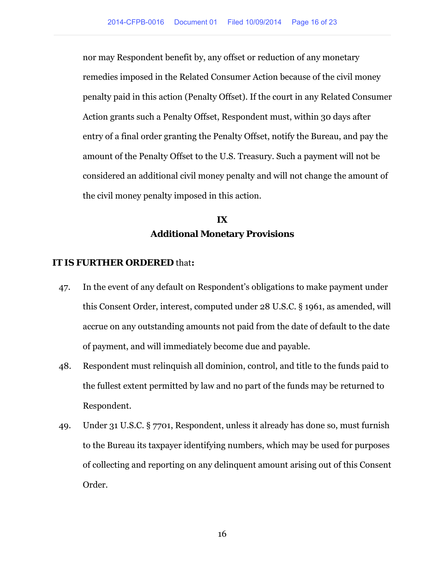nor may Respondent benefit by, any offset or reduction of any monetary remedies imposed in the Related Consumer Action because of the civil money penalty paid in this action (Penalty Offset). If the court in any Related Consumer Action grants such a Penalty Offset, Respondent must, within 30 days after entry of a final order granting the Penalty Offset, notify the Bureau, and pay the amount of the Penalty Offset to the U.S. Treasury. Such a payment will not be considered an additional civil money penalty and will not change the amount of the civil money penalty imposed in this action.

## **IX Additional Monetary Provisions**

#### **IT IS FURTHER ORDERED** that**:**

- 47. In the event of any default on Respondent's obligations to make payment under this Consent Order, interest, computed under 28 U.S.C. § 1961, as amended, will accrue on any outstanding amounts not paid from the date of default to the date of payment, and will immediately become due and payable.
- 48. Respondent must relinquish all dominion, control, and title to the funds paid to the fullest extent permitted by law and no part of the funds may be returned to Respondent.
- 49. Under 31 U.S.C. § 7701, Respondent, unless it already has done so, must furnish to the Bureau its taxpayer identifying numbers, which may be used for purposes of collecting and reporting on any delinquent amount arising out of this Consent Order.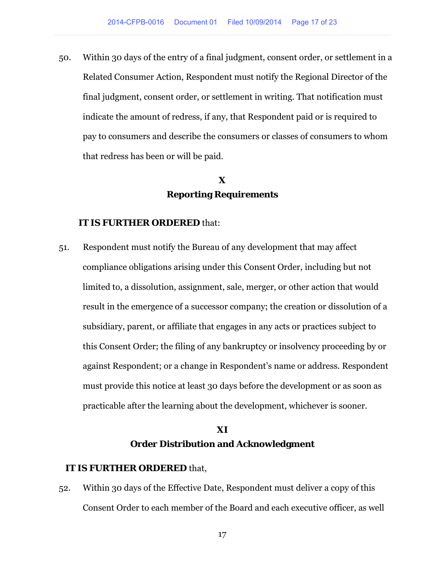50. Within 30 days of the entry of a final judgment, consent order, or settlement in a Related Consumer Action, Respondent must notify the Regional Director of the final judgment, consent order, or settlement in writing. That notification must indicate the amount of redress, if any, that Respondent paid or is required to pay to consumers and describe the consumers or classes of consumers to whom that redress has been or will be paid.

## **X Reporting Requirements**

#### **IT IS FURTHER ORDERED** that:

51. Respondent must notify the Bureau of any development that may affect compliance obligations arising under this Consent Order, including but not limited to, a dissolution, assignment, sale, merger, or other action that would result in the emergence of a successor company; the creation or dissolution of a subsidiary, parent, or affiliate that engages in any acts or practices subject to this Consent Order; the filing of any bankruptcy or insolvency proceeding by or against Respondent; or a change in Respondent's name or address. Respondent must provide this notice at least 30 days before the development or as soon as practicable after the learning about the development, whichever is sooner.

### **XI Order Distribution and Acknowledgment**

#### **IT IS FURTHER ORDERED** that,

52. Within 30 days of the Effective Date, Respondent must deliver a copy of this Consent Order to each member of the Board and each executive officer, as well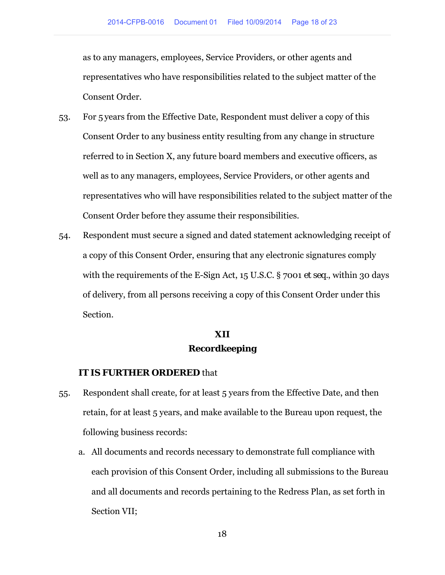as to any managers, employees, Service Providers, or other agents and representatives who have responsibilities related to the subject matter of the Consent Order.

- 53. For 5 years from the Effective Date, Respondent must deliver a copy of this Consent Order to any business entity resulting from any change in structure referred to in Section X, any future board members and executive officers, as well as to any managers, employees, Service Providers, or other agents and representatives who will have responsibilities related to the subject matter of the Consent Order before they assume their responsibilities.
- 54. Respondent must secure a signed and dated statement acknowledging receipt of a copy of this Consent Order, ensuring that any electronic signatures comply with the requirements of the E-Sign Act, 15 U.S.C. § 7001 *et seq.*, within 30 days of delivery, from all persons receiving a copy of this Consent Order under this Section.

### **XII Recordkeeping**

### **IT IS FURTHER ORDERED** that

- 55. Respondent shall create, for at least 5 years from the Effective Date, and then retain, for at least 5 years, and make available to the Bureau upon request, the following business records:
	- a. All documents and records necessary to demonstrate full compliance with each provision of this Consent Order, including all submissions to the Bureau and all documents and records pertaining to the Redress Plan, as set forth in Section VII;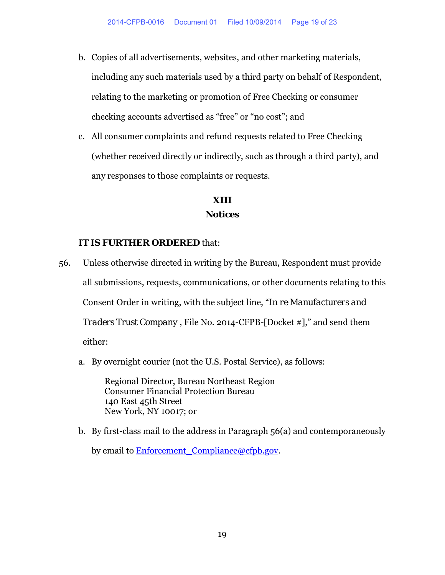- b. Copies of all advertisements, websites, and other marketing materials, including any such materials used by a third party on behalf of Respondent, relating to the marketing or promotion of Free Checking or consumer checking accounts advertised as "free" or "no cost"; and
- c. All consumer complaints and refund requests related to Free Checking (whether received directly or indirectly, such as through a third party), and any responses to those complaints or requests.

### **XIII Notices**

#### **IT IS FURTHER ORDERED** that:

- 56. Unless otherwise directed in writing by the Bureau, Respondent must provide all submissions, requests, communications, or other documents relating to this Consent Order in writing, with the subject line, "*In re Manufacturers and Traders Trust Company* , File No. 2014-CFPB-[Docket #]," and send them either:
	- a. By overnight courier (not the U.S. Postal Service), as follows:

Regional Director, Bureau Northeast Region Consumer Financial Protection Bureau 140 East 45th Street New York, NY 10017; or

b. By first-class mail to the address in Paragraph 56(a) and contemporaneously by email to Enforcement Compliance@cfpb.gov.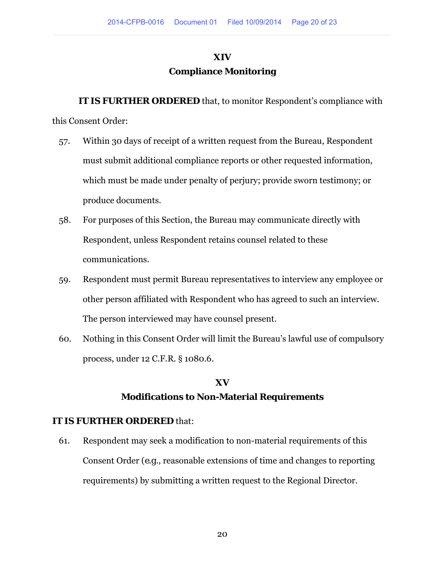# **XIV Compliance Monitoring**

**IT IS FURTHER ORDERED** that, to monitor Respondent's compliance with

this Consent Order:

- 57. Within 30 days of receipt of a written request from the Bureau, Respondent must submit additional compliance reports or other requested information, which must be made under penalty of perjury; provide sworn testimony; or produce documents.
- 58. For purposes of this Section, the Bureau may communicate directly with Respondent, unless Respondent retains counsel related to these communications.
- 59. Respondent must permit Bureau representatives to interview any employee or other person affiliated with Respondent who has agreed to such an interview. The person interviewed may have counsel present.
- 60. Nothing in this Consent Order will limit the Bureau's lawful use of compulsory process, under 12 C.F.R. § 1080.6.

# **XV Modifications to Non-Material Requirements**

### **IT IS FURTHER ORDERED** that:

61. Respondent may seek a modification to non-material requirements of this Consent Order (*e.g*., reasonable extensions of time and changes to reporting requirements) by submitting a written request to the Regional Director.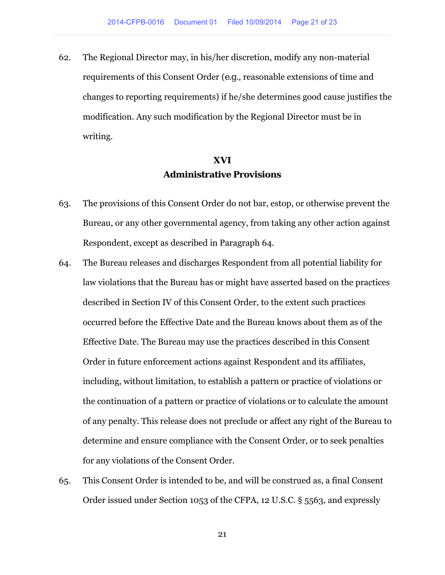62. The Regional Director may, in his/her discretion, modify any non-material requirements of this Consent Order (*e.g*., reasonable extensions of time and changes to reporting requirements) if he/she determines good cause justifies the modification. Any such modification by the Regional Director must be in writing.

## **XVI Administrative Provisions**

- 63. The provisions of this Consent Order do not bar, estop, or otherwise prevent the Bureau, or any other governmental agency, from taking any other action against Respondent, except as described in Paragraph 64.
- 64. The Bureau releases and discharges Respondent from all potential liability for law violations that the Bureau has or might have asserted based on the practices described in Section IV of this Consent Order, to the extent such practices occurred before the Effective Date and the Bureau knows about them as of the Effective Date. The Bureau may use the practices described in this Consent Order in future enforcement actions against Respondent and its affiliates, including, without limitation, to establish a pattern or practice of violations or the continuation of a pattern or practice of violations or to calculate the amount of any penalty. This release does not preclude or affect any right of the Bureau to determine and ensure compliance with the Consent Order, or to seek penalties for any violations of the Consent Order.
- 65. This Consent Order is intended to be, and will be construed as, a final Consent Order issued under Section 1053 of the CFPA, 12 U.S.C. § 5563, and expressly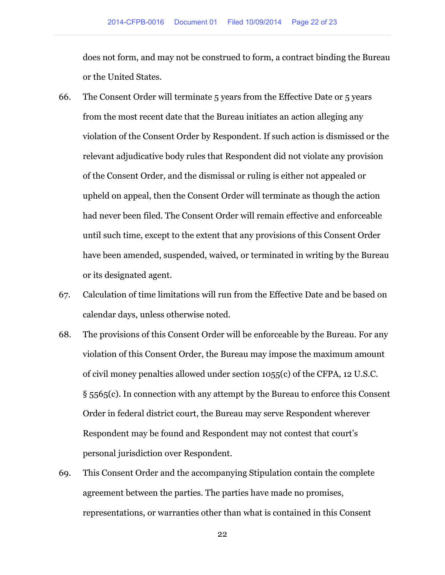does not form, and may not be construed to form, a contract binding the Bureau or the United States.

- 66. The Consent Order will terminate 5 years from the Effective Date or 5 years from the most recent date that the Bureau initiates an action alleging any violation of the Consent Order by Respondent. If such action is dismissed or the relevant adjudicative body rules that Respondent did not violate any provision of the Consent Order, and the dismissal or ruling is either not appealed or upheld on appeal, then the Consent Order will terminate as though the action had never been filed. The Consent Order will remain effective and enforceable until such time, except to the extent that any provisions of this Consent Order have been amended, suspended, waived, or terminated in writing by the Bureau or its designated agent.
- 67. Calculation of time limitations will run from the Effective Date and be based on calendar days, unless otherwise noted.
- 68. The provisions of this Consent Order will be enforceable by the Bureau. For any violation of this Consent Order, the Bureau may impose the maximum amount of civil money penalties allowed under section 1055(c) of the CFPA, 12 U.S.C. § 5565(c). In connection with any attempt by the Bureau to enforce this Consent Order in federal district court, the Bureau may serve Respondent wherever Respondent may be found and Respondent may not contest that court's personal jurisdiction over Respondent.
- 69. This Consent Order and the accompanying Stipulation contain the complete agreement between the parties. The parties have made no promises, representations, or warranties other than what is contained in this Consent